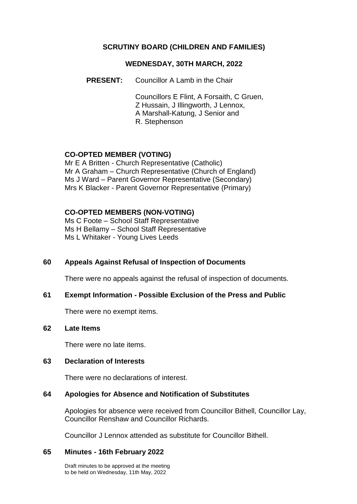# **SCRUTINY BOARD (CHILDREN AND FAMILIES)**

## **WEDNESDAY, 30TH MARCH, 2022**

**PRESENT:** Councillor A Lamb in the Chair

Councillors E Flint, A Forsaith, C Gruen, Z Hussain, J Illingworth, J Lennox, A Marshall-Katung, J Senior and R. Stephenson

# **CO-OPTED MEMBER (VOTING)**

Mr E A Britten - Church Representative (Catholic) Mr A Graham – Church Representative (Church of England) Ms J Ward – Parent Governor Representative (Secondary) Mrs K Blacker - Parent Governor Representative (Primary)

### **CO-OPTED MEMBERS (NON-VOTING)**

Ms C Foote – School Staff Representative Ms H Bellamy – School Staff Representative Ms L Whitaker - Young Lives Leeds

# **60 Appeals Against Refusal of Inspection of Documents**

There were no appeals against the refusal of inspection of documents.

# **61 Exempt Information - Possible Exclusion of the Press and Public**

There were no exempt items.

### **62 Late Items**

There were no late items.

### **63 Declaration of Interests**

There were no declarations of interest.

### **64 Apologies for Absence and Notification of Substitutes**

Apologies for absence were received from Councillor Bithell, Councillor Lay, Councillor Renshaw and Councillor Richards.

Councillor J Lennox attended as substitute for Councillor Bithell.

### **65 Minutes - 16th February 2022**

Draft minutes to be approved at the meeting to be held on Wednesday, 11th May, 2022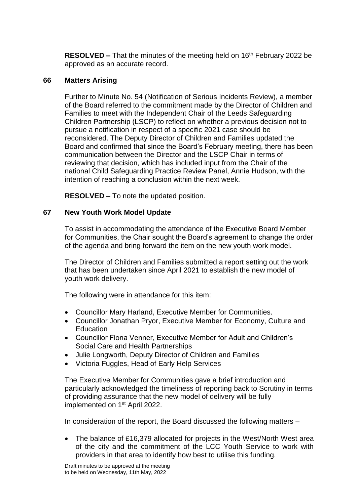**RESOLVED –** That the minutes of the meeting held on 16<sup>th</sup> February 2022 be approved as an accurate record.

## **66 Matters Arising**

Further to Minute No. 54 (Notification of Serious Incidents Review), a member of the Board referred to the commitment made by the Director of Children and Families to meet with the Independent Chair of the Leeds Safeguarding Children Partnership (LSCP) to reflect on whether a previous decision not to pursue a notification in respect of a specific 2021 case should be reconsidered. The Deputy Director of Children and Families updated the Board and confirmed that since the Board's February meeting, there has been communication between the Director and the LSCP Chair in terms of reviewing that decision, which has included input from the Chair of the national Child Safeguarding Practice Review Panel, Annie Hudson, with the intention of reaching a conclusion within the next week.

**RESOLVED –** To note the updated position.

# **67 New Youth Work Model Update**

To assist in accommodating the attendance of the Executive Board Member for Communities, the Chair sought the Board's agreement to change the order of the agenda and bring forward the item on the new youth work model.

The Director of Children and Families submitted a report setting out the work that has been undertaken since April 2021 to establish the new model of youth work delivery.

The following were in attendance for this item:

- Councillor Mary Harland, Executive Member for Communities.
- Councillor Jonathan Pryor, Executive Member for Economy, Culture and Education
- Councillor Fiona Venner, Executive Member for Adult and Children's Social Care and Health Partnerships
- Julie Longworth, Deputy Director of Children and Families
- Victoria Fuggles, Head of Early Help Services

The Executive Member for Communities gave a brief introduction and particularly acknowledged the timeliness of reporting back to Scrutiny in terms of providing assurance that the new model of delivery will be fully implemented on 1st April 2022.

In consideration of the report, the Board discussed the following matters –

• The balance of £16,379 allocated for projects in the West/North West area of the city and the commitment of the LCC Youth Service to work with providers in that area to identify how best to utilise this funding.

Draft minutes to be approved at the meeting to be held on Wednesday, 11th May, 2022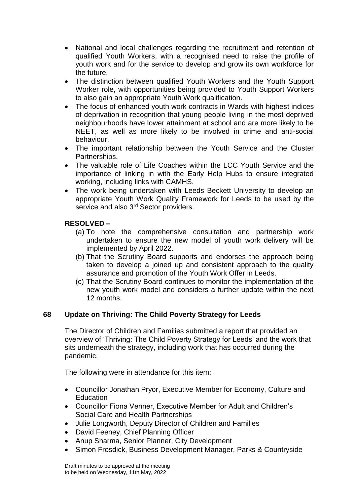- National and local challenges regarding the recruitment and retention of qualified Youth Workers, with a recognised need to raise the profile of youth work and for the service to develop and grow its own workforce for the future.
- The distinction between qualified Youth Workers and the Youth Support Worker role, with opportunities being provided to Youth Support Workers to also gain an appropriate Youth Work qualification.
- The focus of enhanced youth work contracts in Wards with highest indices of deprivation in recognition that young people living in the most deprived neighbourhoods have lower attainment at school and are more likely to be NEET, as well as more likely to be involved in crime and anti-social behaviour.
- The important relationship between the Youth Service and the Cluster Partnerships.
- The valuable role of Life Coaches within the LCC Youth Service and the importance of linking in with the Early Help Hubs to ensure integrated working, including links with CAMHS.
- The work being undertaken with Leeds Beckett University to develop an appropriate Youth Work Quality Framework for Leeds to be used by the service and also 3<sup>rd</sup> Sector providers.

# **RESOLVED –**

- (a) To note the comprehensive consultation and partnership work undertaken to ensure the new model of youth work delivery will be implemented by April 2022.
- (b) That the Scrutiny Board supports and endorses the approach being taken to develop a joined up and consistent approach to the quality assurance and promotion of the Youth Work Offer in Leeds.
- (c) That the Scrutiny Board continues to monitor the implementation of the new youth work model and considers a further update within the next 12 months.

# **68 Update on Thriving: The Child Poverty Strategy for Leeds**

The Director of Children and Families submitted a report that provided an overview of 'Thriving: The Child Poverty Strategy for Leeds' and the work that sits underneath the strategy, including work that has occurred during the pandemic.

The following were in attendance for this item:

- Councillor Jonathan Pryor, Executive Member for Economy, Culture and **Education**
- Councillor Fiona Venner, Executive Member for Adult and Children's Social Care and Health Partnerships
- Julie Longworth, Deputy Director of Children and Families
- David Feeney, Chief Planning Officer
- Anup Sharma, Senior Planner, City Development
- Simon Frosdick, Business Development Manager, Parks & Countryside

Draft minutes to be approved at the meeting to be held on Wednesday, 11th May, 2022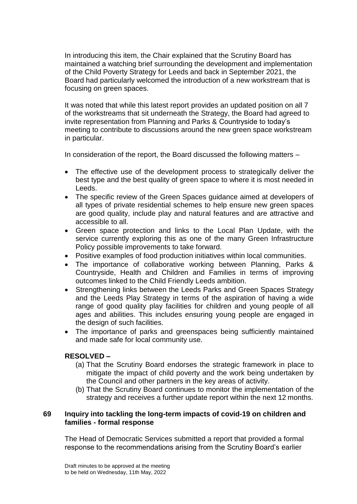In introducing this item, the Chair explained that the Scrutiny Board has maintained a watching brief surrounding the development and implementation of the Child Poverty Strategy for Leeds and back in September 2021, the Board had particularly welcomed the introduction of a new workstream that is focusing on green spaces.

It was noted that while this latest report provides an updated position on all 7 of the workstreams that sit underneath the Strategy, the Board had agreed to invite representation from Planning and Parks & Countryside to today's meeting to contribute to discussions around the new green space workstream in particular.

In consideration of the report, the Board discussed the following matters –

- The effective use of the development process to strategically deliver the best type and the best quality of green space to where it is most needed in Leeds.
- The specific review of the Green Spaces guidance aimed at developers of all types of private residential schemes to help ensure new green spaces are good quality, include play and natural features and are attractive and accessible to all.
- Green space protection and links to the Local Plan Update, with the service currently exploring this as one of the many Green Infrastructure Policy possible improvements to take forward.
- Positive examples of food production initiatives within local communities.
- The importance of collaborative working between Planning, Parks & Countryside, Health and Children and Families in terms of improving outcomes linked to the Child Friendly Leeds ambition.
- Strengthening links between the Leeds Parks and Green Spaces Strategy and the Leeds Play Strategy in terms of the aspiration of having a wide range of good quality play facilities for children and young people of all ages and abilities. This includes ensuring young people are engaged in the design of such facilities.
- The importance of parks and greenspaces being sufficiently maintained and made safe for local community use.

# **RESOLVED –**

- (a) That the Scrutiny Board endorses the strategic framework in place to mitigate the impact of child poverty and the work being undertaken by the Council and other partners in the key areas of activity.
- (b) That the Scrutiny Board continues to monitor the implementation of the strategy and receives a further update report within the next 12 months.

# **69 Inquiry into tackling the long-term impacts of covid-19 on children and families - formal response**

The Head of Democratic Services submitted a report that provided a formal response to the recommendations arising from the Scrutiny Board's earlier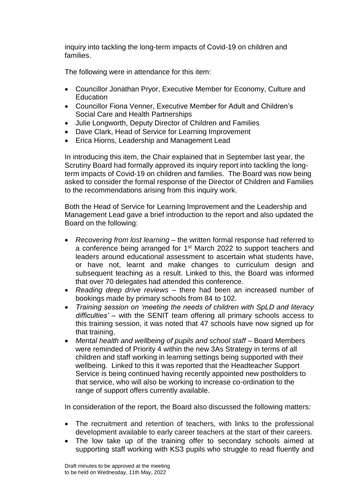inquiry into tackling the long-term impacts of Covid-19 on children and families.

The following were in attendance for this item:

- Councillor Jonathan Pryor, Executive Member for Economy, Culture and **Education**
- Councillor Fiona Venner, Executive Member for Adult and Children's Social Care and Health Partnerships
- Julie Longworth, Deputy Director of Children and Families
- Dave Clark, Head of Service for Learning Improvement
- Erica Hiorns, Leadership and Management Lead

In introducing this item, the Chair explained that in September last year, the Scrutiny Board had formally approved its inquiry report into tackling the longterm impacts of Covid-19 on children and families. The Board was now being asked to consider the formal response of the Director of Children and Families to the recommendations arising from this inquiry work.

Both the Head of Service for Learning Improvement and the Leadership and Management Lead gave a brief introduction to the report and also updated the Board on the following:

- *Recovering from lost learning* the written formal response had referred to a conference being arranged for 1<sup>st</sup> March 2022 to support teachers and leaders around educational assessment to ascertain what students have, or have not, learnt and make changes to curriculum design and subsequent teaching as a result. Linked to this, the Board was informed that over 70 delegates had attended this conference.
- *Reading deep drive reviews* there had been an increased number of bookings made by primary schools from 84 to 102.
- *Training session on 'meeting the needs of children with SpLD and literacy difficulties'* – with the SENIT team offering all primary schools access to this training session, it was noted that 47 schools have now signed up for that training.
- *Mental health and wellbeing of pupils and school staff* Board Members were reminded of Priority 4 within the new 3As Strategy in terms of all children and staff working in learning settings being supported with their wellbeing. Linked to this it was reported that the Headteacher Support Service is being continued having recently appointed new postholders to that service, who will also be working to increase co-ordination to the range of support offers currently available.

In consideration of the report, the Board also discussed the following matters:

- The recruitment and retention of teachers, with links to the professional development available to early career teachers at the start of their careers.
- The low take up of the training offer to secondary schools aimed at supporting staff working with KS3 pupils who struggle to read fluently and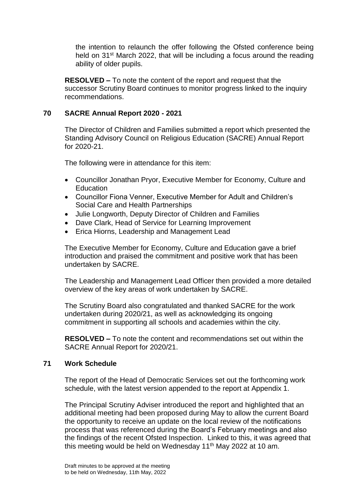the intention to relaunch the offer following the Ofsted conference being held on 31<sup>st</sup> March 2022, that will be including a focus around the reading ability of older pupils.

**RESOLVED –** To note the content of the report and request that the successor Scrutiny Board continues to monitor progress linked to the inquiry recommendations.

# **70 SACRE Annual Report 2020 - 2021**

The Director of Children and Families submitted a report which presented the Standing Advisory Council on Religious Education (SACRE) Annual Report for 2020-21.

The following were in attendance for this item:

- Councillor Jonathan Pryor, Executive Member for Economy, Culture and **Education**
- Councillor Fiona Venner, Executive Member for Adult and Children's Social Care and Health Partnerships
- Julie Longworth, Deputy Director of Children and Families
- Dave Clark, Head of Service for Learning Improvement
- Erica Hiorns, Leadership and Management Lead

The Executive Member for Economy, Culture and Education gave a brief introduction and praised the commitment and positive work that has been undertaken by SACRE.

The Leadership and Management Lead Officer then provided a more detailed overview of the key areas of work undertaken by SACRE.

The Scrutiny Board also congratulated and thanked SACRE for the work undertaken during 2020/21, as well as acknowledging its ongoing commitment in supporting all schools and academies within the city.

**RESOLVED –** To note the content and recommendations set out within the SACRE Annual Report for 2020/21.

# **71 Work Schedule**

The report of the Head of Democratic Services set out the forthcoming work schedule, with the latest version appended to the report at Appendix 1.

The Principal Scrutiny Adviser introduced the report and highlighted that an additional meeting had been proposed during May to allow the current Board the opportunity to receive an update on the local review of the notifications process that was referenced during the Board's February meetings and also the findings of the recent Ofsted Inspection. Linked to this, it was agreed that this meeting would be held on Wednesday 11<sup>th</sup> May 2022 at 10 am.